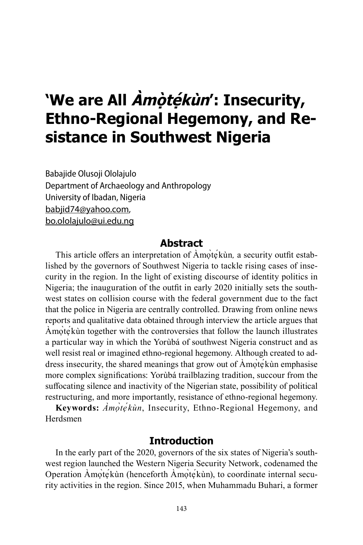# **'We are All Àmọ̀tẹ́ kùn': Insecurity, Ethno-Regional Hegemony, and Resistance in Southwest Nigeria**

Babajide Olusoji Ololajulo Department of Archaeology and Anthropology University of Ibadan, Nigeria babjid74@yahoo.com, bo.ololajulo@ui.edu.ng

### **Abstract**

This article offers an interpretation of Amote<sup>kun</sup>, a security outfit established by the governors of Southwest Nigeria to tackle rising cases of insecurity in the region. In the light of existing discourse of identity politics in Nigeria; the inauguration of the outfit in early 2020 initially sets the southwest states on collision course with the federal government due to the fact that the police in Nigeria are centrally controlled. Drawing from online news reports and qualitative data obtained through interview the article argues that Àmọ̀tẹ́kùn together with the controversies that follow the launch illustrates a particular way in which the Yorùbá of southwest Nigeria construct and as well resist real or imagined ethno-regional hegemony. Although created to address insecurity, the shared meanings that grow out of  $\overrightarrow{A}$ mote<sup> $\overrightarrow{A}$ </sup> emphasise more complex significations: Yorùbá trailblazing tradition, succour from the suffocating silence and inactivity of the Nigerian state, possibility of political restructuring, and more importantly, resistance of ethno-regional hegemony.

**Keywords:** *Àmọ̀tẹ́ kùn*, Insecurity, Ethno-Regional Hegemony, and Herdsmen

## **Introduction**

In the early part of the 2020, governors of the six states of Nigeria's southwest region launched the Western Nigeria Security Network, codenamed the Operation Àmọ̀tẹ́kùn (henceforth Àmọ̀tẹ́kùn), to coordinate internal security activities in the region. Since 2015, when Muhammadu Buhari, a former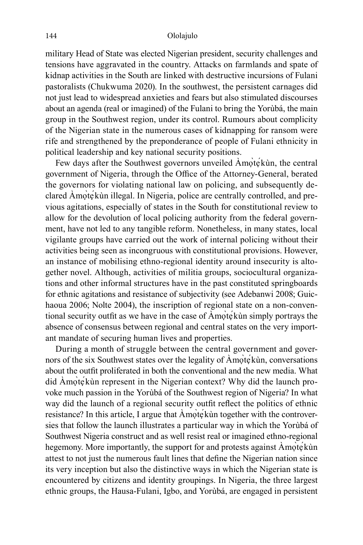military Head of State was elected Nigerian president, security challenges and tensions have aggravated in the country. Attacks on farmlands and spate of kidnap activities in the South are linked with destructive incursions of Fulani pastoralists (Chukwuma 2020). In the southwest, the persistent carnages did not just lead to widespread anxieties and fears but also stimulated discourses about an agenda (real or imagined) of the Fulani to bring the Yorùbá, the main group in the Southwest region, under its control. Rumours about complicity of the Nigerian state in the numerous cases of kidnapping for ransom were rife and strengthened by the preponderance of people of Fulani ethnicity in political leadership and key national security positions.

Few days after the Southwest governors unveiled Amote kùn, the central government of Nigeria, through the Office of the Attorney-General, berated the governors for violating national law on policing, and subsequently declared Amote<sup>k</sup>un illegal. In Nigeria, police are centrally controlled, and previous agitations, especially of states in the South for constitutional review to allow for the devolution of local policing authority from the federal government, have not led to any tangible reform. Nonetheless, in many states, local vigilante groups have carried out the work of internal policing without their activities being seen as incongruous with constitutional provisions. However, an instance of mobilising ethno-regional identity around insecurity is altogether novel. Although, activities of militia groups, sociocultural organizations and other informal structures have in the past constituted springboards for ethnic agitations and resistance of subjectivity (see Adebanwi 2008; Guichaoua 2006; Nolte 2004), the inscription of regional state on a non-conventional security outfit as we have in the case of Àmọ̀tẹ́kùn simply portrays the absence of consensus between regional and central states on the very important mandate of securing human lives and properties.

During a month of struggle between the central government and governors of the six Southwest states over the legality of Amotekun, conversations about the outfit proliferated in both the conventional and the new media. What did Àmọ̀tẹ́kùn represent in the Nigerian context? Why did the launch provoke much passion in the Yorùbá of the Southwest region of Nigeria? In what way did the launch of a regional security outfit reflect the politics of ethnic resistance? In this article, I argue that Amọ̀tẹ́kùn together with the controversies that follow the launch illustrates a particular way in which the Yorùbá of Southwest Nigeria construct and as well resist real or imagined ethno-regional hegemony. More importantly, the support for and protests against Amọ̀tẹ́kùn attest to not just the numerous fault lines that define the Nigerian nation since its very inception but also the distinctive ways in which the Nigerian state is encountered by citizens and identity groupings. In Nigeria, the three largest ethnic groups, the Hausa-Fulani, Igbo, and Yorùbá, are engaged in persistent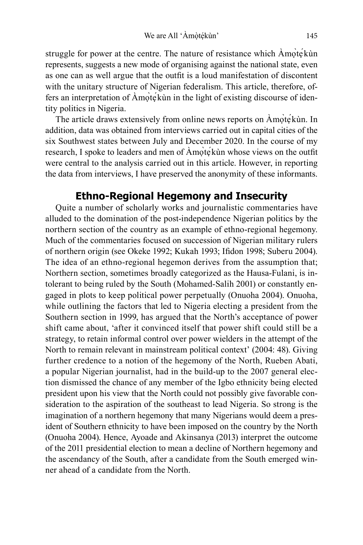struggle for power at the centre. The nature of resistance which Amọ̀tẹ́kùn represents, suggests a new mode of organising against the national state, even as one can as well argue that the outfit is a loud manifestation of discontent with the unitary structure of Nigerian federalism. This article, therefore, offers an interpretation of Àmọ̀tẹ́kùn in the light of existing discourse of identity politics in Nigeria.

The article draws extensively from online news reports on Àmọ̀tẹ́kùn. In addition, data was obtained from interviews carried out in capital cities of the six Southwest states between July and December 2020. In the course of my research, I spoke to leaders and men of Àmọ̀tẹ́kùn whose views on the outfit were central to the analysis carried out in this article. However, in reporting the data from interviews, I have preserved the anonymity of these informants.

## **Ethno-Regional Hegemony and Insecurity**

Quite a number of scholarly works and journalistic commentaries have alluded to the domination of the post-independence Nigerian politics by the northern section of the country as an example of ethno-regional hegemony. Much of the commentaries focused on succession of Nigerian military rulers of northern origin (see Okeke 1992; Kukah 1993; Ifidon 1998; Suberu 2004). The idea of an ethno-regional hegemon derives from the assumption that; Northern section, sometimes broadly categorized as the Hausa-Fulani, is intolerant to being ruled by the South (Mohamed-Salih 2001) or constantly engaged in plots to keep political power perpetually (Onuoha 2004). Onuoha, while outlining the factors that led to Nigeria electing a president from the Southern section in 1999, has argued that the North's acceptance of power shift came about, 'after it convinced itself that power shift could still be a strategy, to retain informal control over power wielders in the attempt of the North to remain relevant in mainstream political context' (2004: 48). Giving further credence to a notion of the hegemony of the North, Rueben Abati, a popular Nigerian journalist, had in the build-up to the 2007 general election dismissed the chance of any member of the Igbo ethnicity being elected president upon his view that the North could not possibly give favorable consideration to the aspiration of the southeast to lead Nigeria. So strong is the imagination of a northern hegemony that many Nigerians would deem a president of Southern ethnicity to have been imposed on the country by the North (Onuoha 2004). Hence, Ayoade and Akinsanya (2013) interpret the outcome of the 2011 presidential election to mean a decline of Northern hegemony and the ascendancy of the South, after a candidate from the South emerged winner ahead of a candidate from the North.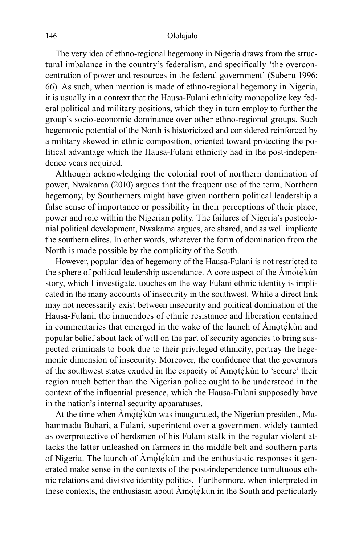The very idea of ethno-regional hegemony in Nigeria draws from the structural imbalance in the country's federalism, and specifically 'the overconcentration of power and resources in the federal government' (Suberu 1996: 66). As such, when mention is made of ethno-regional hegemony in Nigeria, it is usually in a context that the Hausa-Fulani ethnicity monopolize key federal political and military positions, which they in turn employ to further the group's socio-economic dominance over other ethno-regional groups. Such hegemonic potential of the North is historicized and considered reinforced by a military skewed in ethnic composition, oriented toward protecting the political advantage which the Hausa-Fulani ethnicity had in the post-independence years acquired.

Although acknowledging the colonial root of northern domination of power, Nwakama (2010) argues that the frequent use of the term, Northern hegemony, by Southerners might have given northern political leadership a false sense of importance or possibility in their perceptions of their place, power and role within the Nigerian polity. The failures of Nigeria's postcolonial political development, Nwakama argues, are shared, and as well implicate the southern elites. In other words, whatever the form of domination from the North is made possible by the complicity of the South.

However, popular idea of hegemony of the Hausa-Fulani is not restricted to the sphere of political leadership ascendance. A core aspect of the  $\overrightarrow{A}$ mote $\overrightarrow{K}$ ùn story, which I investigate, touches on the way Fulani ethnic identity is implicated in the many accounts of insecurity in the southwest. While a direct link may not necessarily exist between insecurity and political domination of the Hausa-Fulani, the innuendoes of ethnic resistance and liberation contained in commentaries that emerged in the wake of the launch of Amotekùn and popular belief about lack of will on the part of security agencies to bring suspected criminals to book due to their privileged ethnicity, portray the hegemonic dimension of insecurity. Moreover, the confidence that the governors of the southwest states exuded in the capacity of Àmọ̀tẹ́kùn to 'secure' their region much better than the Nigerian police ought to be understood in the context of the influential presence, which the Hausa-Fulani supposedly have in the nation's internal security apparatuses.

At the time when Amọ̀tẹ́kùn was inaugurated, the Nigerian president, Muhammadu Buhari, a Fulani, superintend over a government widely taunted as overprotective of herdsmen of his Fulani stalk in the regular violent attacks the latter unleashed on farmers in the middle belt and southern parts of Nigeria. The launch of Amotekun and the enthusiastic responses it generated make sense in the contexts of the post-independence tumultuous ethnic relations and divisive identity politics. Furthermore, when interpreted in these contexts, the enthusiasm about Amote<sup>kun</sup> in the South and particularly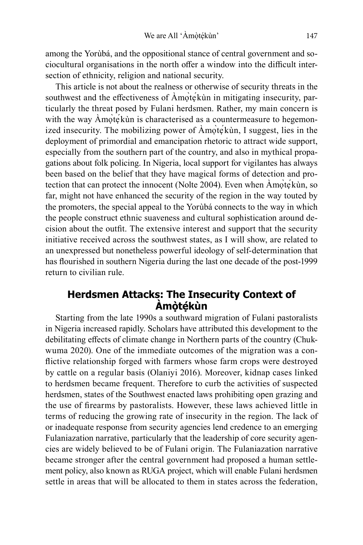among the Yorùbá, and the oppositional stance of central government and sociocultural organisations in the north offer a window into the difficult intersection of ethnicity, religion and national security.

This article is not about the realness or otherwise of security threats in the southwest and the effectiveness of Amote<sup>kun</sup> in mitigating insecurity, particularly the threat posed by Fulani herdsmen. Rather, my main concern is with the way Amọtẹ́kùn is characterised as a countermeasure to hegemonized insecurity. The mobilizing power of Àmọ̀tẹ́kùn, I suggest, lies in the deployment of primordial and emancipation rhetoric to attract wide support, especially from the southern part of the country, and also in mythical propagations about folk policing. In Nigeria, local support for vigilantes has always been based on the belief that they have magical forms of detection and protection that can protect the innocent (Nolte 2004). Even when Àmọ̀tẹ́kùn, so far, might not have enhanced the security of the region in the way touted by the promoters, the special appeal to the Yorùbá connects to the way in which the people construct ethnic suaveness and cultural sophistication around decision about the outfit. The extensive interest and support that the security initiative received across the southwest states, as I will show, are related to an unexpressed but nonetheless powerful ideology of self-determination that has flourished in southern Nigeria during the last one decade of the post-1999 return to civilian rule.

# **Herdsmen Attacks: The Insecurity Context of Àmọ̀tẹ́kùn**

Starting from the late 1990s a southward migration of Fulani pastoralists in Nigeria increased rapidly. Scholars have attributed this development to the debilitating effects of climate change in Northern parts of the country (Chukwuma 2020). One of the immediate outcomes of the migration was a conflictive relationship forged with farmers whose farm crops were destroyed by cattle on a regular basis (Olaniyi 2016). Moreover, kidnap cases linked to herdsmen became frequent. Therefore to curb the activities of suspected herdsmen, states of the Southwest enacted laws prohibiting open grazing and the use of firearms by pastoralists. However, these laws achieved little in terms of reducing the growing rate of insecurity in the region. The lack of or inadequate response from security agencies lend credence to an emerging Fulaniazation narrative, particularly that the leadership of core security agencies are widely believed to be of Fulani origin. The Fulaniazation narrative became stronger after the central government had proposed a human settlement policy, also known as RUGA project, which will enable Fulani herdsmen settle in areas that will be allocated to them in states across the federation,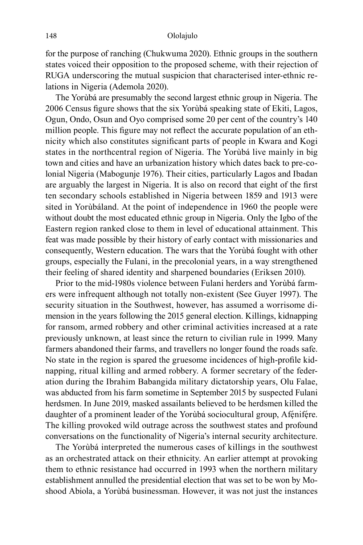for the purpose of ranching (Chukwuma 2020). Ethnic groups in the southern states voiced their opposition to the proposed scheme, with their rejection of RUGA underscoring the mutual suspicion that characterised inter-ethnic relations in Nigeria (Ademola 2020).

The Yorùbá are presumably the second largest ethnic group in Nigeria. The 2006 Census figure shows that the six Yorùbá speaking state of Ekiti, Lagos, Ogun, Ondo, Osun and Oyo comprised some 20 per cent of the country's 140 million people. This figure may not reflect the accurate population of an ethnicity which also constitutes significant parts of people in Kwara and Kogi states in the northcentral region of Nigeria. The Yorùbá live mainly in big town and cities and have an urbanization history which dates back to pre-colonial Nigeria (Mabogunje 1976). Their cities, particularly Lagos and Ibadan are arguably the largest in Nigeria. It is also on record that eight of the first ten secondary schools established in Nigeria between 1859 and 1913 were sited in Yorùbáland. At the point of independence in 1960 the people were without doubt the most educated ethnic group in Nigeria. Only the Igbo of the Eastern region ranked close to them in level of educational attainment. This feat was made possible by their history of early contact with missionaries and consequently, Western education. The wars that the Yorùbá fought with other groups, especially the Fulani, in the precolonial years, in a way strengthened their feeling of shared identity and sharpened boundaries (Eriksen 2010).

Prior to the mid-1980s violence between Fulani herders and Yorùbá farmers were infrequent although not totally non-existent (See Guyer 1997). The security situation in the Southwest, however, has assumed a worrisome dimension in the years following the 2015 general election. Killings, kidnapping for ransom, armed robbery and other criminal activities increased at a rate previously unknown, at least since the return to civilian rule in 1999. Many farmers abandoned their farms, and travellers no longer found the roads safe. No state in the region is spared the gruesome incidences of high-profile kidnapping, ritual killing and armed robbery. A former secretary of the federation during the Ibrahim Babangida military dictatorship years, Olu Falae, was abducted from his farm sometime in September 2015 by suspected Fulani herdsmen. In June 2019, masked assailants believed to be herdsmen killed the daughter of a prominent leader of the Yorùbá sociocultural group, Afénifére. The killing provoked wild outrage across the southwest states and profound conversations on the functionality of Nigeria's internal security architecture.

The Yorùbá interpreted the numerous cases of killings in the southwest as an orchestrated attack on their ethnicity. An earlier attempt at provoking them to ethnic resistance had occurred in 1993 when the northern military establishment annulled the presidential election that was set to be won by Moshood Abiola, a Yorùbá businessman. However, it was not just the instances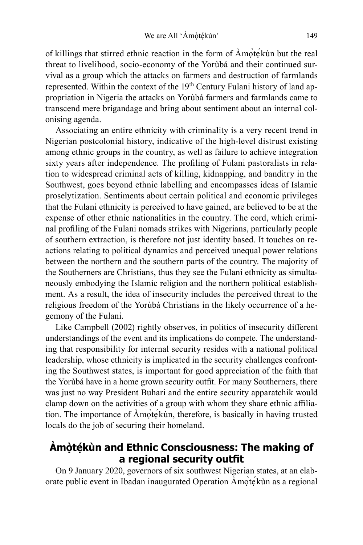of killings that stirred ethnic reaction in the form of Àmọ̀tẹ́kùn but the real threat to livelihood, socio-economy of the Yorùbá and their continued survival as a group which the attacks on farmers and destruction of farmlands represented. Within the context of the 19th Century Fulani history of land appropriation in Nigeria the attacks on Yorùbá farmers and farmlands came to transcend mere brigandage and bring about sentiment about an internal colonising agenda.

Associating an entire ethnicity with criminality is a very recent trend in Nigerian postcolonial history, indicative of the high-level distrust existing among ethnic groups in the country, as well as failure to achieve integration sixty years after independence. The profiling of Fulani pastoralists in relation to widespread criminal acts of killing, kidnapping, and banditry in the Southwest, goes beyond ethnic labelling and encompasses ideas of Islamic proselytization. Sentiments about certain political and economic privileges that the Fulani ethnicity is perceived to have gained, are believed to be at the expense of other ethnic nationalities in the country. The cord, which criminal profiling of the Fulani nomads strikes with Nigerians, particularly people of southern extraction, is therefore not just identity based. It touches on reactions relating to political dynamics and perceived unequal power relations between the northern and the southern parts of the country. The majority of the Southerners are Christians, thus they see the Fulani ethnicity as simultaneously embodying the Islamic religion and the northern political establishment. As a result, the idea of insecurity includes the perceived threat to the religious freedom of the Yorùbá Christians in the likely occurrence of a hegemony of the Fulani.

Like Campbell (2002) rightly observes, in politics of insecurity different understandings of the event and its implications do compete. The understanding that responsibility for internal security resides with a national political leadership, whose ethnicity is implicated in the security challenges confronting the Southwest states, is important for good appreciation of the faith that the Yorùbá have in a home grown security outfit. For many Southerners, there was just no way President Buhari and the entire security apparatchik would clamp down on the activities of a group with whom they share ethnic affiliation. The importance of Àmọ̀tẹ́kùn, therefore, is basically in having trusted locals do the job of securing their homeland.

# **Àmọ̀tẹ́kùn and Ethnic Consciousness: The making of a regional security outfit**

On 9 January 2020, governors of six southwest Nigerian states, at an elaborate public event in Ibadan inaugurated Operation Àmọ̀tẹ́kùn as a regional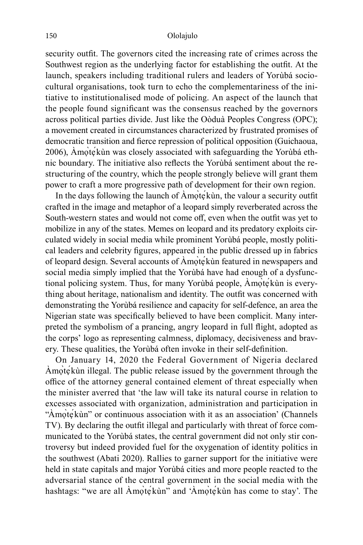security outfit. The governors cited the increasing rate of crimes across the Southwest region as the underlying factor for establishing the outfit. At the launch, speakers including traditional rulers and leaders of Yorùbá sociocultural organisations, took turn to echo the complementariness of the initiative to institutionalised mode of policing. An aspect of the launch that the people found significant was the consensus reached by the governors across political parties divide. Just like the Oòduà Peoples Congress (OPC); a movement created in circumstances characterized by frustrated promises of democratic transition and fierce repression of political opposition (Guichaoua, 2006), Àmọ̀tẹ́kùn was closely associated with safeguarding the Yorùbá ethnic boundary. The initiative also reflects the Yorùbá sentiment about the restructuring of the country, which the people strongly believe will grant them power to craft a more progressive path of development for their own region.

In the days following the launch of  $\overrightarrow{A}$ mọ̀tẹ́kùn, the valour a security outfit crafted in the image and metaphor of a leopard simply reverberated across the South-western states and would not come off, even when the outfit was yet to mobilize in any of the states. Memes on leopard and its predatory exploits circulated widely in social media while prominent Yorùbá people, mostly political leaders and celebrity figures, appeared in the public dressed up in fabrics of leopard design. Several accounts of Àmọ̀tẹ́kùn featured in newspapers and social media simply implied that the Yorùbá have had enough of a dysfunctional policing system. Thus, for many Yorùbá people, Àmọ̀tẹ́kùn is everything about heritage, nationalism and identity. The outfit was concerned with demonstrating the Yorùbá resilience and capacity for self-defence, an area the Nigerian state was specifically believed to have been complicit. Many interpreted the symbolism of a prancing, angry leopard in full flight, adopted as the corps' logo as representing calmness, diplomacy, decisiveness and bravery. These qualities, the Yorùbá often invoke in their self-definition.

On January 14, 2020 the Federal Government of Nigeria declared Àmọ̀tẹ́kùn illegal. The public release issued by the government through the office of the attorney general contained element of threat especially when the minister averred that 'the law will take its natural course in relation to excesses associated with organization, administration and participation in "Amọtẹ́kùn" or continuous association with it as an association' (Channels TV). By declaring the outfit illegal and particularly with threat of force communicated to the Yorùbá states, the central government did not only stir controversy but indeed provided fuel for the oxygenation of identity politics in the southwest (Abati 2020). Rallies to garner support for the initiative were held in state capitals and major Yorùbá cities and more people reacted to the adversarial stance of the central government in the social media with the hashtags: "we are all Amote<sup>k</sup>ùn" and 'Amote<sup>k</sup>ùn has come to stay'. The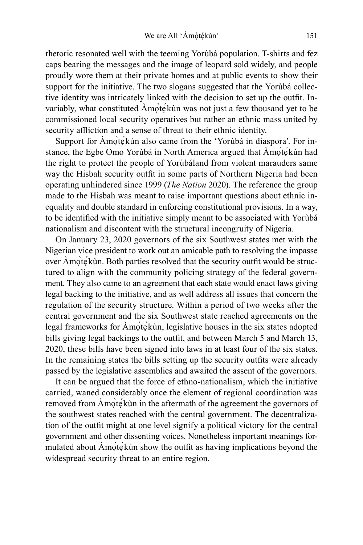rhetoric resonated well with the teeming Yorùbá population. T-shirts and fez caps bearing the messages and the image of leopard sold widely, and people proudly wore them at their private homes and at public events to show their support for the initiative. The two slogans suggested that the Yorùbá collective identity was intricately linked with the decision to set up the outfit. Invariably, what constituted Amọ̀tẹ́kùn was not just a few thousand yet to be commissioned local security operatives but rather an ethnic mass united by security affliction and a sense of threat to their ethnic identity.

Support for Amote<sup>kun</sup> also came from the 'Yoruba in diaspora'. For instance, the Egbe Omo Yorùbá in North America argued that Àmọ̀tẹ́kùn had the right to protect the people of Yorùbáland from violent marauders same way the Hisbah security outfit in some parts of Northern Nigeria had been operating unhindered since 1999 (*The Nation* 2020). The reference the group made to the Hisbah was meant to raise important questions about ethnic inequality and double standard in enforcing constitutional provisions. In a way, to be identified with the initiative simply meant to be associated with Yorùbá nationalism and discontent with the structural incongruity of Nigeria.

On January 23, 2020 governors of the six Southwest states met with the Nigerian vice president to work out an amicable path to resolving the impasse over Amote<sup>kun</sup>. Both parties resolved that the security outfit would be structured to align with the community policing strategy of the federal government. They also came to an agreement that each state would enact laws giving legal backing to the initiative, and as well address all issues that concern the regulation of the security structure. Within a period of two weeks after the central government and the six Southwest state reached agreements on the legal frameworks for Amote<sup>k</sup>ùn, legislative houses in the six states adopted bills giving legal backings to the outfit, and between March 5 and March 13, 2020, these bills have been signed into laws in at least four of the six states. In the remaining states the bills setting up the security outfits were already passed by the legislative assemblies and awaited the assent of the governors.

It can be argued that the force of ethno-nationalism, which the initiative carried, waned considerably once the element of regional coordination was removed from Amote<sup>kun</sup> in the aftermath of the agreement the governors of the southwest states reached with the central government. The decentralization of the outfit might at one level signify a political victory for the central government and other dissenting voices. Nonetheless important meanings formulated about Àmọ̀tẹ́kùn show the outfit as having implications beyond the widespread security threat to an entire region.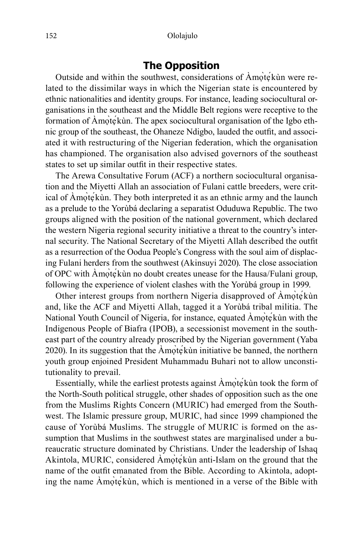## **The Opposition**

Outside and within the southwest, considerations of Amote kun were related to the dissimilar ways in which the Nigerian state is encountered by ethnic nationalities and identity groups. For instance, leading sociocultural organisations in the southeast and the Middle Belt regions were receptive to the formation of Amotekun. The apex sociocultural organisation of the Igbo ethnic group of the southeast, the Ohaneze Ndigbo, lauded the outfit, and associated it with restructuring of the Nigerian federation, which the organisation has championed. The organisation also advised governors of the southeast states to set up similar outfit in their respective states.

The Arewa Consultative Forum (ACF) a northern sociocultural organisation and the Miyetti Allah an association of Fulani cattle breeders, were critical of Amote<sup> $\chi$ </sup>in. They both interpreted it as an ethnic army and the launch as a prelude to the Yorùbá declaring a separatist Oduduwa Republic. The two groups aligned with the position of the national government, which declared the western Nigeria regional security initiative a threat to the country's internal security. The National Secretary of the Miyetti Allah described the outfit as a resurrection of the Oodua People's Congress with the soul aim of displacing Fulani herders from the southwest (Akinsuyi 2020). The close association of OPC with Àmọ̀tẹ́kùn no doubt creates unease for the Hausa/Fulani group, following the experience of violent clashes with the Yorùbá group in 1999.

Other interest groups from northern Nigeria disapproved of Amọ̀tẹ́kùn and, like the ACF and Miyetti Allah, tagged it a Yorùbá tribal militia. The National Youth Council of Nigeria, for instance, equated Amote kun with the Indigenous People of Biafra (IPOB), a secessionist movement in the southeast part of the country already proscribed by the Nigerian government (Yaba 2020). In its suggestion that the  $\text{Amo}$ tę́kùn initiative be banned, the northern youth group enjoined President Muhammadu Buhari not to allow unconstitutionality to prevail.

Essentially, while the earliest protests against Àmọ̀tẹ́kùn took the form of the North-South political struggle, other shades of opposition such as the one from the Muslims Rights Concern (MURIC) had emerged from the Southwest. The Islamic pressure group, MURIC, had since 1999 championed the cause of Yorùbá Muslims. The struggle of MURIC is formed on the assumption that Muslims in the southwest states are marginalised under a bureaucratic structure dominated by Christians. Under the leadership of Ishaq Akintola, MURIC, considered Amọte kùn anti-Islam on the ground that the name of the outfit emanated from the Bible. According to Akintola, adopting the name Àmọ̀tẹ́kùn, which is mentioned in a verse of the Bible with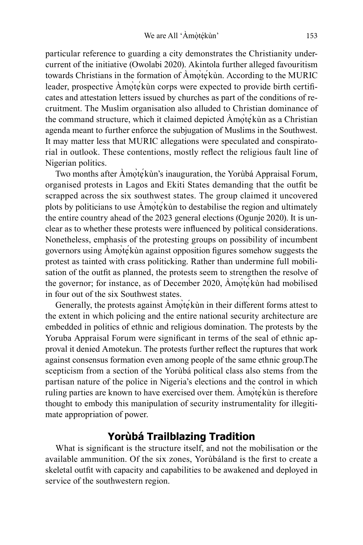particular reference to guarding a city demonstrates the Christianity undercurrent of the initiative (Owolabi 2020). Akintola further alleged favouritism towards Christians in the formation of Àmọ̀tẹ́kùn. According to the MURIC leader, prospective Àmọ̀tẹ́kùn corps were expected to provide birth certificates and attestation letters issued by churches as part of the conditions of recruitment. The Muslim organisation also alluded to Christian dominance of the command structure, which it claimed depicted Àmọ̀tẹ́kùn as a Christian agenda meant to further enforce the subjugation of Muslims in the Southwest. It may matter less that MURIC allegations were speculated and conspiratorial in outlook. These contentions, mostly reflect the religious fault line of Nigerian politics.

Two months after Àmọ̀tẹ́kùn's inauguration, the Yorùbá Appraisal Forum, organised protests in Lagos and Ekiti States demanding that the outfit be scrapped across the six southwest states. The group claimed it uncovered plots by politicians to use Àmọ̀tẹ́kùn to destabilise the region and ultimately the entire country ahead of the 2023 general elections (Ogunje 2020). It is unclear as to whether these protests were influenced by political considerations. Nonetheless, emphasis of the protesting groups on possibility of incumbent governors using Àmọ̀tẹ́kùn against opposition figures somehow suggests the protest as tainted with crass politicking. Rather than undermine full mobilisation of the outfit as planned, the protests seem to strengthen the resolve of the governor; for instance, as of December 2020, Àmọ̀tẹ́kùn had mobilised in four out of the six Southwest states.

Generally, the protests against Amọ̀tẹ́kùn in their different forms attest to the extent in which policing and the entire national security architecture are embedded in politics of ethnic and religious domination. The protests by the Yoruba Appraisal Forum were significant in terms of the seal of ethnic approval it denied Amotekun. The protests further reflect the ruptures that work against consensus formation even among people of the same ethnic group.The scepticism from a section of the Yorùbá political class also stems from the partisan nature of the police in Nigeria's elections and the control in which ruling parties are known to have exercised over them. Àmọ̀tẹ́kùn is therefore thought to embody this manipulation of security instrumentality for illegitimate appropriation of power.

## **Yorùbá Trailblazing Tradition**

What is significant is the structure itself, and not the mobilisation or the available ammunition. Of the six zones, Yorùbáland is the first to create a skeletal outfit with capacity and capabilities to be awakened and deployed in service of the southwestern region.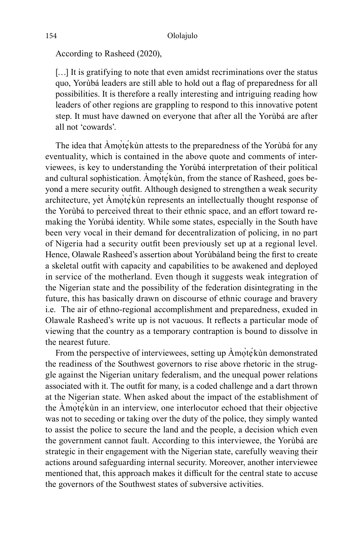According to Rasheed (2020),

[...] It is gratifying to note that even amidst recriminations over the status quo, Yorùbá leaders are still able to hold out a flag of preparedness for all possibilities. It is therefore a really interesting and intriguing reading how leaders of other regions are grappling to respond to this innovative potent step. It must have dawned on everyone that after all the Yorùbá are after all not 'cowards'.

The idea that Amote kùn attests to the preparedness of the Yoruba for any eventuality, which is contained in the above quote and comments of interviewees, is key to understanding the Yorùbá interpretation of their political and cultural sophistication. Amote<sup>k</sup>un, from the stance of Rasheed, goes beyond a mere security outfit. Although designed to strengthen a weak security architecture, yet Àmọ̀tẹ́kùn represents an intellectually thought response of the Yorùbá to perceived threat to their ethnic space, and an effort toward remaking the Yorùbá identity. While some states, especially in the South have been very vocal in their demand for decentralization of policing, in no part of Nigeria had a security outfit been previously set up at a regional level. Hence, Olawale Rasheed's assertion about Yorùbáland being the first to create a skeletal outfit with capacity and capabilities to be awakened and deployed in service of the motherland. Even though it suggests weak integration of the Nigerian state and the possibility of the federation disintegrating in the future, this has basically drawn on discourse of ethnic courage and bravery i.e. The air of ethno-regional accomplishment and preparedness, exuded in Olawale Rasheed's write up is not vacuous. It reflects a particular mode of viewing that the country as a temporary contraption is bound to dissolve in the nearest future.

From the perspective of interviewees, setting up  $\angle$ Amòtékùn demonstrated the readiness of the Southwest governors to rise above rhetoric in the struggle against the Nigerian unitary federalism, and the unequal power relations associated with it. The outfit for many, is a coded challenge and a dart thrown at the Nigerian state. When asked about the impact of the establishment of the Àmọ̀tẹ́kùn in an interview, one interlocutor echoed that their objective was not to seceding or taking over the duty of the police, they simply wanted to assist the police to secure the land and the people, a decision which even the government cannot fault. According to this interviewee, the Yorùbá are strategic in their engagement with the Nigerian state, carefully weaving their actions around safeguarding internal security. Moreover, another interviewee mentioned that, this approach makes it difficult for the central state to accuse the governors of the Southwest states of subversive activities.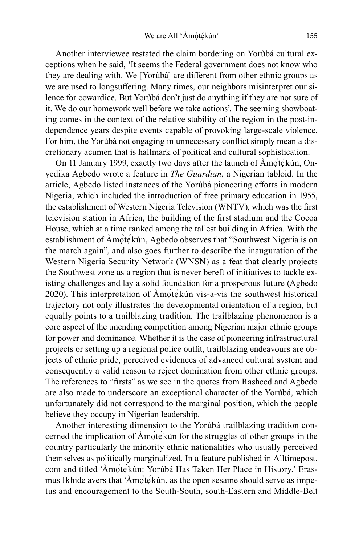Another interviewee restated the claim bordering on Yorùbá cultural exceptions when he said, 'It seems the Federal government does not know who they are dealing with. We [Yorùbá] are different from other ethnic groups as we are used to longsuffering. Many times, our neighbors misinterpret our silence for cowardice. But Yorùbá don't just do anything if they are not sure of it. We do our homework well before we take actions'. The seeming showboating comes in the context of the relative stability of the region in the post-independence years despite events capable of provoking large-scale violence. For him, the Yorùbá not engaging in unnecessary conflict simply mean a discretionary acumen that is hallmark of political and cultural sophistication.

On 11 January 1999, exactly two days after the launch of Amote kun, Onyedika Agbedo wrote a feature in *The Guardian*, a Nigerian tabloid. In the article, Agbedo listed instances of the Yorùbá pioneering efforts in modern Nigeria, which included the introduction of free primary education in 1955, the establishment of Western Nigeria Television (WNTV), which was the first television station in Africa, the building of the first stadium and the Cocoa House, which at a time ranked among the tallest building in Africa. With the establishment of Amotekùn, Agbedo observes that "Southwest Nigeria is on the march again", and also goes further to describe the inauguration of the Western Nigeria Security Network (WNSN) as a feat that clearly projects the Southwest zone as a region that is never bereft of initiatives to tackle existing challenges and lay a solid foundation for a prosperous future (Agbedo 2020). This interpretation of Àmọ̀tẹ́kùn vis-à-vis the southwest historical trajectory not only illustrates the developmental orientation of a region, but equally points to a trailblazing tradition. The trailblazing phenomenon is a core aspect of the unending competition among Nigerian major ethnic groups for power and dominance. Whether it is the case of pioneering infrastructural projects or setting up a regional police outfit, trailblazing endeavours are objects of ethnic pride, perceived evidences of advanced cultural system and consequently a valid reason to reject domination from other ethnic groups. The references to "firsts" as we see in the quotes from Rasheed and Agbedo are also made to underscore an exceptional character of the Yorùbá, which unfortunately did not correspond to the marginal position, which the people believe they occupy in Nigerian leadership.

Another interesting dimension to the Yorùbá trailblazing tradition concerned the implication of Àmọ̀tẹ́kùn for the struggles of other groups in the country particularly the minority ethnic nationalities who usually perceived themselves as politically marginalized. In a feature published in Alltimepost. com and titled 'Àmọ̀tẹ́kùn: Yorùbá Has Taken Her Place in History,' Erasmus Ikhide avers that 'Àmọ̀tẹ́kùn, as the open sesame should serve as impetus and encouragement to the South-South, south-Eastern and Middle-Belt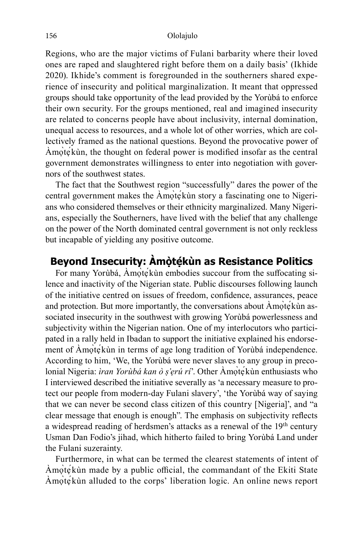Regions, who are the major victims of Fulani barbarity where their loved ones are raped and slaughtered right before them on a daily basis' (Ikhide 2020). Ikhide's comment is foregrounded in the southerners shared experience of insecurity and political marginalization. It meant that oppressed groups should take opportunity of the lead provided by the Yorùbá to enforce their own security. For the groups mentioned, real and imagined insecurity are related to concerns people have about inclusivity, internal domination, unequal access to resources, and a whole lot of other worries, which are collectively framed as the national questions. Beyond the provocative power of Àmọ̀tẹ́kùn, the thought on federal power is modified insofar as the central government demonstrates willingness to enter into negotiation with governors of the southwest states.

The fact that the Southwest region "successfully" dares the power of the central government makes the Àmọ̀tẹ́kùn story a fascinating one to Nigerians who considered themselves or their ethnicity marginalized. Many Nigerians, especially the Southerners, have lived with the belief that any challenge on the power of the North dominated central government is not only reckless but incapable of yielding any positive outcome.

# Beyond Insecurity: Amòtékùn as Resistance Politics

For many Yorùbá, Àmọ̀tẹ́kùn embodies succour from the suffocating silence and inactivity of the Nigerian state. Public discourses following launch of the initiative centred on issues of freedom, confidence, assurances, peace and protection. But more importantly, the conversations about Amọ̀tẹ́kùn associated insecurity in the southwest with growing Yorùbá powerlessness and subjectivity within the Nigerian nation. One of my interlocutors who participated in a rally held in Ibadan to support the initiative explained his endorsement of Àmọ̀te<sup> $\chi$ </sup>ùn in terms of age long tradition of Yorùbá independence. According to him, 'We, the Yorùbá were never slaves to any group in precolonial Nigeria: *ìran Yorùbá kan ò ṣ'ẹrú rí*'. Other Àmọ̀tẹ́kùn enthusiasts who I interviewed described the initiative severally as 'a necessary measure to protect our people from modern-day Fulani slavery', 'the Yorùbá way of saying that we can never be second class citizen of this country [Nigeria]', and "a clear message that enough is enough". The emphasis on subjectivity reflects a widespread reading of herdsmen's attacks as a renewal of the 19<sup>th</sup> century Usman Dan Fodio's jihad, which hitherto failed to bring Yorùbá Land under the Fulani suzerainty.

Furthermore, in what can be termed the clearest statements of intent of Àmọ̀tẹ́kùn made by a public official, the commandant of the Ekiti State Amote<sup> $\chi$ </sup> alluded to the corps' liberation logic. An online news report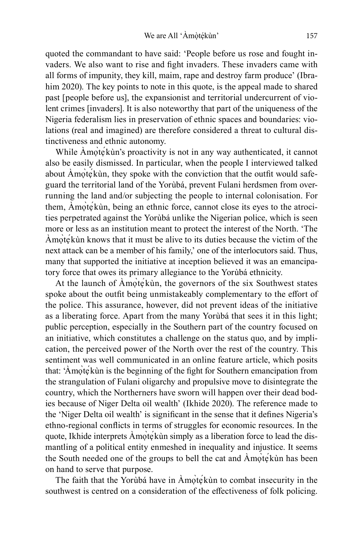quoted the commandant to have said: 'People before us rose and fought invaders. We also want to rise and fight invaders. These invaders came with all forms of impunity, they kill, maim, rape and destroy farm produce' (Ibrahim 2020). The key points to note in this quote, is the appeal made to shared past [people before us], the expansionist and territorial undercurrent of violent crimes [invaders]. It is also noteworthy that part of the uniqueness of the Nigeria federalism lies in preservation of ethnic spaces and boundaries: violations (real and imagined) are therefore considered a threat to cultural distinctiveness and ethnic autonomy.

While Amọ̀tẹ́kùn's proactivity is not in any way authenticated, it cannot also be easily dismissed. In particular, when the people I interviewed talked about Àmọ̀tẹ́kùn, they spoke with the conviction that the outfit would safeguard the territorial land of the Yorùbá, prevent Fulani herdsmen from overrunning the land and/or subjecting the people to internal colonisation. For them, Àmọ̀tẹ́kùn, being an ethnic force, cannot close its eyes to the atrocities perpetrated against the Yorùbá unlike the Nigerian police, which is seen more or less as an institution meant to protect the interest of the North. 'The Àmọ̀tẹ́kùn knows that it must be alive to its duties because the victim of the next attack can be a member of his family,' one of the interlocutors said. Thus, many that supported the initiative at inception believed it was an emancipatory force that owes its primary allegiance to the Yorùbá ethnicity.

At the launch of  $\text{Amq}$ <sub>te</sub> $\text{k}$ ùn, the governors of the six Southwest states spoke about the outfit being unmistakeably complementary to the effort of the police. This assurance, however, did not prevent ideas of the initiative as a liberating force. Apart from the many Yorùbá that sees it in this light; public perception, especially in the Southern part of the country focused on an initiative, which constitutes a challenge on the status quo, and by implication, the perceived power of the North over the rest of the country. This sentiment was well communicated in an online feature article, which posits that: 'Àmọ̀tẹ́kùn is the beginning of the fight for Southern emancipation from the strangulation of Fulani oligarchy and propulsive move to disintegrate the country, which the Northerners have sworn will happen over their dead bodies because of Niger Delta oil wealth' (Ikhide 2020). The reference made to the 'Niger Delta oil wealth' is significant in the sense that it defines Nigeria's ethno-regional conflicts in terms of struggles for economic resources. In the quote, Ikhide interprets Àmọ̀tẹ́kùn simply as a liberation force to lead the dismantling of a political entity enmeshed in inequality and injustice. It seems the South needed one of the groups to bell the cat and Amotekun has been on hand to serve that purpose.

The faith that the Yorùbá have in Àmọ̀tẹ́kùn to combat insecurity in the southwest is centred on a consideration of the effectiveness of folk policing.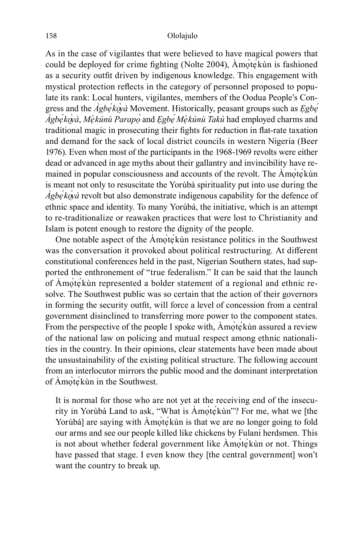As in the case of vigilantes that were believed to have magical powers that could be deployed for crime fighting (Nolte 2004), Amote kùn is fashioned as a security outfit driven by indigenous knowledge. This engagement with mystical protection reflects in the category of personnel proposed to populate its rank: Local hunters, vigilantes, members of the Oodua People's Congress and the *Àgbẹ́kọ̀yà* Movement. Historically, peasant groups such as *Ẹgbẹ́ Àgbẹ́kọ̀yà*, *Mẹ̀kúnù Parapọ* and *̀ Ẹgbẹ́ Mẹ̀kúnù Takú* had employed charms and traditional magic in prosecuting their fights for reduction in flat-rate taxation and demand for the sack of local district councils in western Nigeria (Beer 1976). Even when most of the participants in the 1968-1969 revolts were either dead or advanced in age myths about their gallantry and invincibility have remained in popular consciousness and accounts of the revolt. The Àmọ̀tẹ́kùn is meant not only to resuscitate the Yorùbá spirituality put into use during the *Àgbẹ́kọ̀yà* revolt but also demonstrate indigenous capability for the defence of ethnic space and identity. To many Yorùbá, the initiative, which is an attempt to re-traditionalize or reawaken practices that were lost to Christianity and Islam is potent enough to restore the dignity of the people.

One notable aspect of the Amotekun resistance politics in the Southwest was the conversation it provoked about political restructuring. At different constitutional conferences held in the past, Nigerian Southern states, had supported the enthronement of "true federalism." It can be said that the launch of Àmọ̀tẹ́kùn represented a bolder statement of a regional and ethnic resolve. The Southwest public was so certain that the action of their governors in forming the security outfit, will force a level of concession from a central government disinclined to transferring more power to the component states. From the perspective of the people I spoke with, Amote kun assured a review of the national law on policing and mutual respect among ethnic nationalities in the country. In their opinions, clear statements have been made about the unsustainability of the existing political structure. The following account from an interlocutor mirrors the public mood and the dominant interpretation of Àmọ̀tẹ́kùn in the Southwest.

It is normal for those who are not yet at the receiving end of the insecurity in Yorùbá Land to ask, "What is Àmọ̀tẹ́kùn"? For me, what we [the Yorùbá] are saying with Amọ̀tẹ́kùn is that we are no longer going to fold our arms and see our people killed like chickens by Fulani herdsmen. This is not about whether federal government like Àmọ̀tẹ́kùn or not. Things have passed that stage. I even know they [the central government] won't want the country to break up.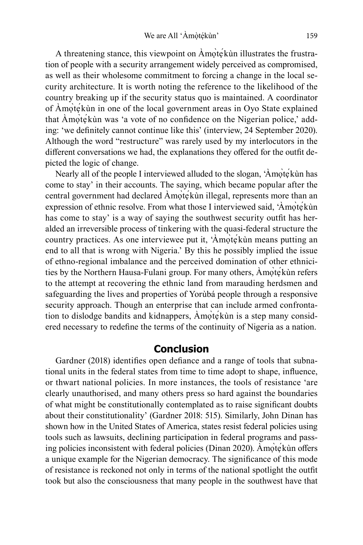A threatening stance, this viewpoint on Àmọ̀tẹ́kùn illustrates the frustration of people with a security arrangement widely perceived as compromised, as well as their wholesome commitment to forcing a change in the local security architecture. It is worth noting the reference to the likelihood of the country breaking up if the security status quo is maintained. A coordinator of Àmọ̀tẹ́kùn in one of the local government areas in Oyo State explained that Amotekùn was 'a vote of no confidence on the Nigerian police,' adding: 'we definitely cannot continue like this' (interview, 24 September 2020). Although the word "restructure" was rarely used by my interlocutors in the different conversations we had, the explanations they offered for the outfit depicted the logic of change.

Nearly all of the people I interviewed alluded to the slogan, 'Àmọ̀tẹ́kùn has come to stay' in their accounts. The saying, which became popular after the central government had declared Amọ̀te<sup> $\angle$ </sup>kùn illegal, represents more than an expression of ethnic resolve. From what those I interviewed said, 'Àmọ̀tẹ́kùn has come to stay' is a way of saying the southwest security outfit has heralded an irreversible process of tinkering with the quasi-federal structure the country practices. As one interviewee put it, 'Àmọ̀tẹ́kùn means putting an end to all that is wrong with Nigeria.' By this he possibly implied the issue of ethno-regional imbalance and the perceived domination of other ethnicities by the Northern Hausa-Fulani group. For many others, Àmọ̀tẹ́kùn refers to the attempt at recovering the ethnic land from marauding herdsmen and safeguarding the lives and properties of Yorùbá people through a responsive security approach. Though an enterprise that can include armed confrontation to dislodge bandits and kidnappers, Àmọ̀tẹ́kùn is a step many considered necessary to redefine the terms of the continuity of Nigeria as a nation.

#### **Conclusion**

Gardner (2018) identifies open defiance and a range of tools that subnational units in the federal states from time to time adopt to shape, influence, or thwart national policies. In more instances, the tools of resistance 'are clearly unauthorised, and many others press so hard against the boundaries of what might be constitutionally contemplated as to raise significant doubts about their constitutionality' (Gardner 2018: 515). Similarly, John Dinan has shown how in the United States of America, states resist federal policies using tools such as lawsuits, declining participation in federal programs and passing policies inconsistent with federal policies (Dinan 2020). Àmọ̀tẹ́kùn offers a unique example for the Nigerian democracy. The significance of this mode of resistance is reckoned not only in terms of the national spotlight the outfit took but also the consciousness that many people in the southwest have that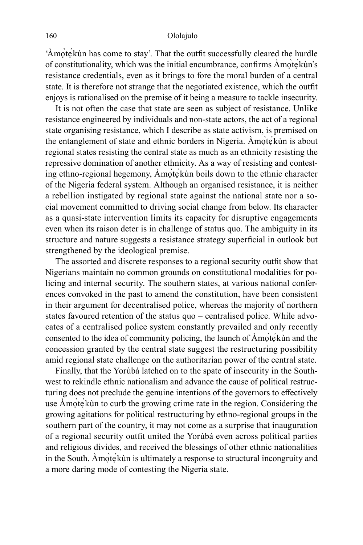'Àmọ̀tẹ́kùn has come to stay'. That the outfit successfully cleared the hurdle of constitutionality, which was the initial encumbrance, confirms Àmọ̀tẹ́kùn's resistance credentials, even as it brings to fore the moral burden of a central state. It is therefore not strange that the negotiated existence, which the outfit enjoys is rationalised on the premise of it being a measure to tackle insecurity.

It is not often the case that state are seen as subject of resistance. Unlike resistance engineered by individuals and non-state actors, the act of a regional state organising resistance, which I describe as state activism, is premised on the entanglement of state and ethnic borders in Nigeria. Amote kùn is about regional states resisting the central state as much as an ethnicity resisting the repressive domination of another ethnicity. As a way of resisting and contesting ethno-regional hegemony, Àmọ̀tẹ́kùn boils down to the ethnic character of the Nigeria federal system. Although an organised resistance, it is neither a rebellion instigated by regional state against the national state nor a social movement committed to driving social change from below. Its character as a quasi-state intervention limits its capacity for disruptive engagements even when its raison deter is in challenge of status quo. The ambiguity in its structure and nature suggests a resistance strategy superficial in outlook but strengthened by the ideological premise.

The assorted and discrete responses to a regional security outfit show that Nigerians maintain no common grounds on constitutional modalities for policing and internal security. The southern states, at various national conferences convoked in the past to amend the constitution, have been consistent in their argument for decentralised police, whereas the majority of northern states favoured retention of the status quo – centralised police. While advocates of a centralised police system constantly prevailed and only recently consented to the idea of community policing, the launch of Àmọ̀tẹ́kùn and the concession granted by the central state suggest the restructuring possibility amid regional state challenge on the authoritarian power of the central state.

Finally, that the Yorùbá latched on to the spate of insecurity in the Southwest to rekindle ethnic nationalism and advance the cause of political restructuring does not preclude the genuine intentions of the governors to effectively use Àmote<sup>*k*un</sup> to curb the growing crime rate in the region. Considering the growing agitations for political restructuring by ethno-regional groups in the southern part of the country, it may not come as a surprise that inauguration of a regional security outfit united the Yorùbá even across political parties and religious divides, and received the blessings of other ethnic nationalities in the South. Amote kùn is ultimately a response to structural incongruity and a more daring mode of contesting the Nigeria state.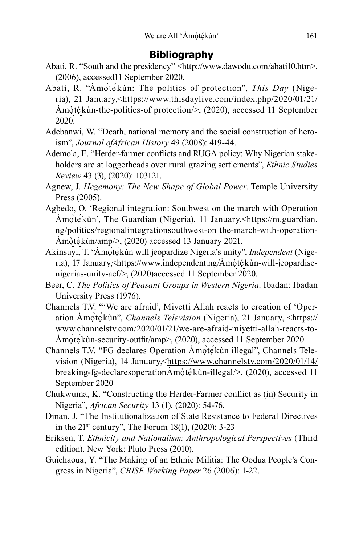- Abati, R. "South and the presidency" <http://www.dawodu.com/abati10.htm>, (2006), accessed11 September 2020.
- Abati, R. "Àmọ̀tẹ́kùn: The politics of protection", *This Day* (Nigeria), 21 January,<https://www.thisdaylive.com/index.php/2020/01/21/  $\hat{A}$ mòtékùn-the-politics-of protection/>, (2020), accessed 11 September 2020.
- Adebanwi, W. "Death, national memory and the social construction of heroism", *Journal ofAfrican History* 49 (2008): 419-44.
- Ademola, E. "Herder-farmer conflicts and RUGA policy: Why Nigerian stakeholders are at loggerheads over rural grazing settlements", *Ethnic Studies Review* 43 (3), (2020): 103121.
- Agnew, J. *Hegemony: The New Shape of Global Power*. Temple University Press (2005).
- Agbedo, O. 'Regional integration: Southwest on the march with Operation Àmọ̀tẹ́kùn', The Guardian (Nigeria), 11 January, <https://m.guardian. ng/politics/regionalintegrationsouthwest-on the-march-with-operation-Amòtékùn/amp/>, (2020) accessed 13 January 2021.
- Akinsuyi, T. "Àmọ̀tẹ́kùn will jeopardize Nigeria's unity", *Independent* (Nigeria), 17 January,<<u>https://www.independent.ng/Amòtékùn-will-jeopardise-</u> nigerias-unity-acf/>, (2020)accessed 11 September 2020.
- Beer, C. *The Politics of Peasant Groups in Western Nigeria*. Ibadan: Ibadan University Press (1976).
- Channels T.V. "'We are afraid', Miyetti Allah reacts to creation of 'Operation Àmọ̀tẹ́kùn", *Channels Television* (Nigeria), 21 January, <https:// www.channelstv.com/2020/01/21/we-are-afraid-miyetti-allah-reacts-to-Àmọ̀tẹ́kùn-security-outfit/amp>, (2020), accessed 11 September 2020
- Channels T.V. "FG declares Operation Àmọ̀tẹ́kùn illegal", Channels Television (Nigeria), 14 January,<https://www.channelstv.com/2020/01/14/ breaking-fg-declaresoperation $\text{À}$ mòtékùn-illegal/>, (2020), accessed 11 September 2020
- Chukwuma, K. "Constructing the Herder-Farmer conflict as (in) Security in Nigeria", *African Security* 13 (1), (2020): 54-76.
- Dinan, J. "The Institutionalization of State Resistance to Federal Directives in the 21st century", The Forum 18(1), (2020): 3-23
- Eriksen, T. *Ethnicity and Nationalism: Anthropological Perspectives* (Third edition). New York: Pluto Press (2010).
- Guichaoua, Y. "The Making of an Ethnic Militia: The Oodua People's Congress in Nigeria", *CRISE Working Paper* 26 (2006): 1-22.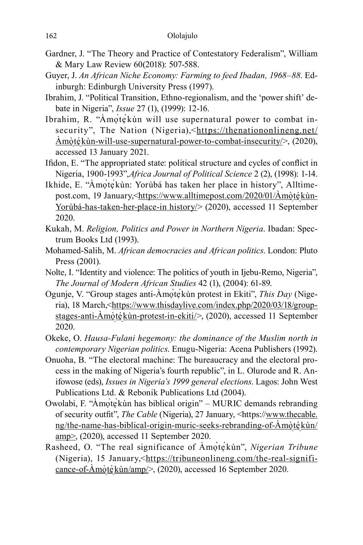- Gardner, J. "The Theory and Practice of Contestatory Federalism", William & Mary Law Review 60(2018): 507-588.
- Guyer, J. *An African Niche Economy: Farming to feed Ibadan, 1968–88*. Edinburgh: Edinburgh University Press (1997).
- Ibrahim, J. "Political Transition, Ethno-regionalism, and the 'power shift' debate in Nigeria", *Issue* 27 (1), (1999): 12-16.
- Ibrahim, R. "Àmọ̀tẹ́kùn will use supernatural power to combat insecurity", The Nation (Nigeria),<https://thenationonlineng.net/  $\overrightarrow{\text{Amòt\'e}}$  kùn-will-use-supernatural-power-to-combat-insecurity/>, (2020), accessed 13 January 2021.
- Ifidon, E. "The appropriated state: political structure and cycles of conflict in Nigeria, 1900-1993",*Africa Journal of Political Science* 2 (2), (1998): 1-14.
- Ikhide, E. "Àmọ̀tẹ́kùn: Yorùbá has taken her place in history", Alltimepost.com, 19 January,<<u>https://www.alltimepost.com/2020/01/Amòtékùn-</u> Yorùbá-has-taken-her-place-in history/> (2020), accessed 11 September 2020.
- Kukah, M. *Religion, Politics and Power in Northern Nigeria*. Ibadan: Spectrum Books Ltd (1993).
- Mohamed-Salih, M. *African democracies and African politics*. London: Pluto Press (2001).
- Nolte, I. "Identity and violence: The politics of youth in Ijebu-Remo, Nigeria", *The Journal of Modern African Studies* 42 (1), (2004): 61-89.
- Ogunje, V. "Group stages anti-Àmọ̀tẹ́kùn protest in Ekiti", *This Day* (Nigeria), 18 March,<https://www.thisdaylive.com/index.php/2020/03/18/groupstages-anti-Àmọ̀tẹ́kùn-protest-in-ekiti/>, (2020), accessed 11 September 2020.
- Okeke, O. *Hausa-Fulani hegemony: the dominance of the Muslim north in contemporary Nigerian politics*. Enugu-Nigeria: Acena Publishers (1992).
- Onuoha, B. "The electoral machine: The bureaucracy and the electoral process in the making of Nigeria's fourth republic", in L. Olurode and R. Anifowose (eds), *Issues in Nigeria's 1999 general elections*. Lagos: John West Publications Ltd. & Rebonik Publications Ltd (2004).
- Owolabi, F. "Àmọ̀tẹ́kùn has biblical origin" MURIC demands rebranding of security outfit", *The Cable* (Nigeria), 27 January, <https://www.thecable. ng/the-name-has-biblical-origin-muric-seeks-rebranding-of-Àmọ̀tẹ́kùn/ amp>, (2020), accessed 11 September 2020.
- Rasheed, O. "The real significance of Àmọ̀tẹ́kùn", *Nigerian Tribune* (Nigeria), 15 January,<https://tribuneonlineng.com/the-real-significance-of-Amòtékùn/amp/>, (2020), accessed 16 September 2020.